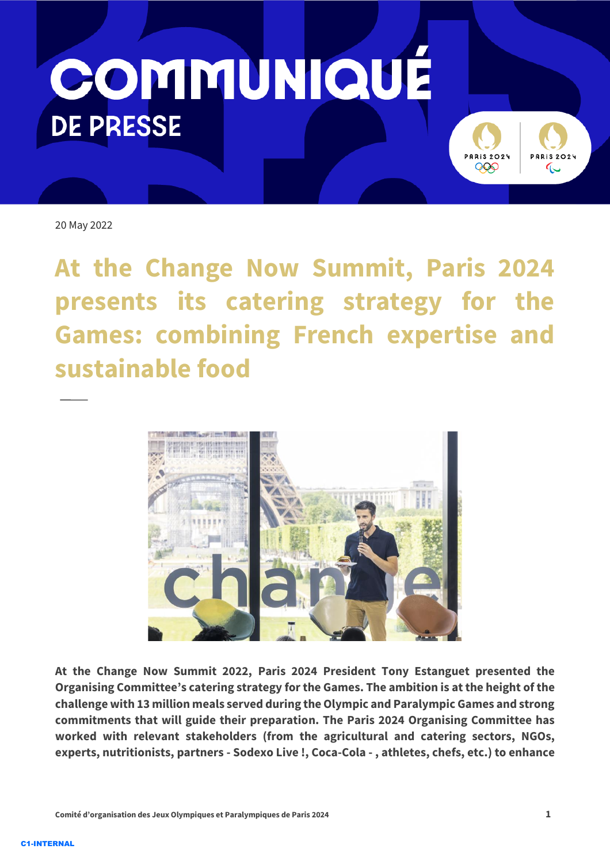



20 May 2022

**At the Change Now Summit, Paris 2024 presents its catering strategy for the Games: combining French expertise and sustainable food** 



**At the Change Now Summit 2022, Paris 2024 President Tony Estanguet presented the Organising Committee's catering strategy for the Games. The ambition is at the height of the challenge with 13 million meals served during the Olympic and Paralympic Games and strong commitments that will guide their preparation. The Paris 2024 Organising Committee has worked with relevant stakeholders (from the agricultural and catering sectors, NGOs, experts, nutritionists, partners - Sodexo Live !, Coca-Cola - , athletes, chefs, etc.) to enhance**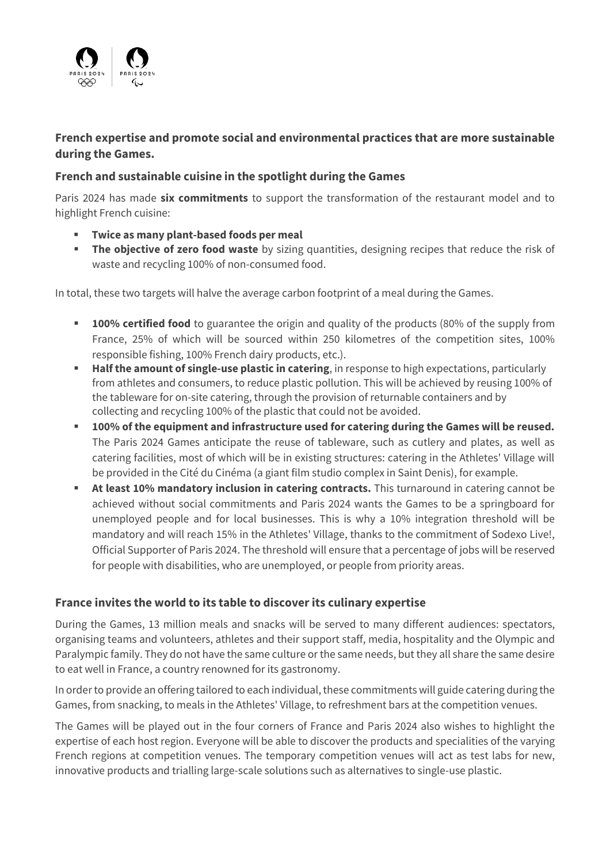

## **French expertise and promote social and environmental practices that are more sustainable during the Games.**

## **French and sustainable cuisine in the spotlight during the Games**

Paris 2024 has made **six commitments** to support the transformation of the restaurant model and to highlight French cuisine:

- **Twice as many plant-based foods per meal**
- **The objective of zero food waste** by sizing quantities, designing recipes that reduce the risk of waste and recycling 100% of non-consumed food.

In total, these two targets will halve the average carbon footprint of a meal during the Games.

- **100% certified food** to guarantee the origin and quality of the products (80% of the supply from France, 25% of which will be sourced within 250 kilometres of the competition sites, 100% responsible fishing, 100% French dairy products, etc.).
- **Half the amount of single-use plastic in catering, in response to high expectations, particularly** from athletes and consumers, to reduce plastic pollution. This will be achieved by reusing 100% of the tableware for on-site catering, through the provision of returnable containers and by collecting and recycling 100% of the plastic that could not be avoided.
- **100% of the equipment and infrastructure used for catering during the Games will be reused.** The Paris 2024 Games anticipate the reuse of tableware, such as cutlery and plates, as well as catering facilities, most of which will be in existing structures: catering in the Athletes' Village will be provided in the Cité du Cinéma (a giant film studio complex in Saint Denis), for example.
- **EXECT At least 10% mandatory inclusion in catering contracts.** This turnaround in catering cannot be achieved without social commitments and Paris 2024 wants the Games to be a springboard for unemployed people and for local businesses. This is why a 10% integration threshold will be mandatory and will reach 15% in the Athletes' Village, thanks to the commitment of Sodexo Live!, Official Supporter of Paris 2024. The threshold will ensure that a percentage of jobs will be reserved for people with disabilities, who are unemployed, or people from priority areas.

## **France invites the world to its table to discover its culinary expertise**

During the Games, 13 million meals and snacks will be served to many different audiences: spectators, organising teams and volunteers, athletes and their support staff, media, hospitality and the Olympic and Paralympic family. They do not have the same culture or the same needs, but they all share the same desire to eat well in France, a country renowned for its gastronomy.

In order to provide an offering tailored to each individual, these commitments will guide catering during the Games, from snacking, to meals in the Athletes' Village, to refreshment bars at the competition venues.

The Games will be played out in the four corners of France and Paris 2024 also wishes to highlight the expertise of each host region. Everyone will be able to discover the products and specialities of the varying French regions at competition venues. The temporary competition venues will act as test labs for new, innovative products and trialling large-scale solutions such as alternatives to single-use plastic.